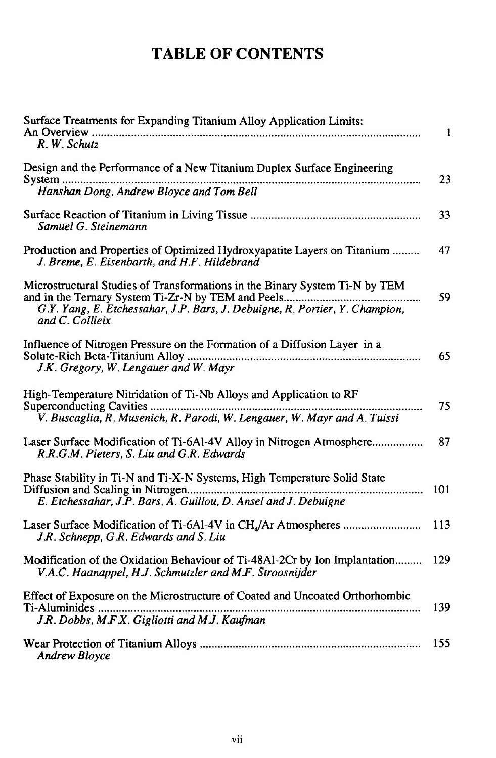## TABLE OF CONTENTS

| Surface Treatments for Expanding Titanium Alloy Application Limits:<br>R. W. Schutz                                                         | $\mathbf{1}$ |
|---------------------------------------------------------------------------------------------------------------------------------------------|--------------|
| Design and the Performance of a New Titanium Duplex Surface Engineering<br>Hanshan Dong, Andrew Bloyce and Tom Bell                         | 23           |
| Samuel G. Steinemann                                                                                                                        | 33           |
| Production and Properties of Optimized Hydroxyapatite Layers on Titanium<br>J. Breme, E. Eisenbarth, and H.F. Hildebrand                    | 47           |
| Microstructural Studies of Transformations in the Binary System Ti-N by TEM<br>and C. Collieix                                              | 59           |
| Influence of Nitrogen Pressure on the Formation of a Diffusion Layer in a<br>J.K. Gregory, W. Lengauer and W. Mayr                          | 65           |
| High-Temperature Nitridation of Ti-Nb Alloys and Application to RF                                                                          | 75           |
| Laser Surface Modification of Ti-6Al-4V Alloy in Nitrogen Atmosphere<br>R.R.G.M. Pieters, S. Liu and G.R. Edwards                           | 87           |
| Phase Stability in Ti-N and Ti-X-N Systems, High Temperature Solid State<br>E. Etchessahar, J.P. Bars, A. Guillou, D. Ansel and J. Debuigne | 101          |
| J.R. Schnepp, G.R. Edwards and S. Liu                                                                                                       | 113          |
| Modification of the Oxidation Behaviour of Ti-48Al-2Cr by Ion Implantation<br>V.A.C. Haanappel, H.J. Schmutzler and M.F. Stroosnijder       | 129          |
| Effect of Exposure on the Microstructure of Coated and Uncoated Orthorhombic<br>J.R. Dobbs, M.F.X. Gigliotti and M.J. Kaufman               | 139          |
| Andrew Bloyce                                                                                                                               | 155          |